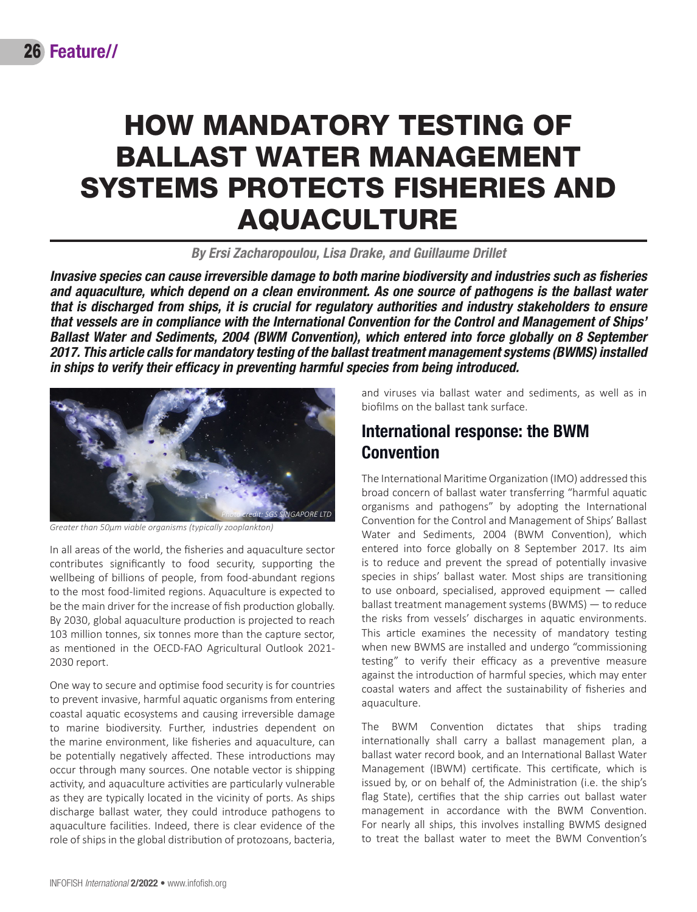# HOW MANDATORY TESTING OF BALLAST WATER MANAGEMENT SYSTEMS PROTECTS FISHERIES AND AQUACULTURE

*By Ersi Zacharopoulou, Lisa Drake, and Guillaume Drillet*

*Invasive species can cause irreversible damage to both marine biodiversity and industries such as fisheries and aquaculture, which depend on a clean environment. As one source of pathogens is the ballast water that is discharged from ships, it is crucial for regulatory authorities and industry stakeholders to ensure that vessels are in compliance with the International Convention for the Control and Management of Ships' Ballast Water and Sediments, 2004 (BWM Convention), which entered into force globally on 8 September 2017. This article calls for mandatory testing of the ballast treatment management systems (BWMS) installed in ships to verify their efficacy in preventing harmful species from being introduced.*



*Greater than 50μm viable organisms (typically zooplankton)*

In all areas of the world, the fisheries and aquaculture sector contributes significantly to food security, supporting the wellbeing of billions of people, from food-abundant regions to the most food-limited regions. Aquaculture is expected to be the main driver for the increase of fish production globally. By 2030, global aquaculture production is projected to reach 103 million tonnes, six tonnes more than the capture sector, as mentioned in the [OECD-FAO Agricultural Outlook 2021-](http://www.fao.org/publications/oecd-fao-agricultural-outlook/2021-2030/en/) [2030 report](http://www.fao.org/publications/oecd-fao-agricultural-outlook/2021-2030/en/).

One way to secure and optimise food security is for countries to prevent invasive, harmful aquatic organisms from entering coastal aquatic ecosystems and causing irreversible damage to marine biodiversity. Further, industries dependent on the marine environment, like fisheries and aquaculture, can be potentially negatively affected. These introductions may occur through many sources. One notable vector is shipping activity, and aquaculture activities are particularly vulnerable as they are typically located in the vicinity of ports. As ships discharge ballast water, they could introduce pathogens to aquaculture facilities. Indeed, there is clear evidence of the role of ships in the global distribution of protozoans, bacteria,

and viruses via ballast water and sediments, as well as in biofilms on the ballast tank surface.

### International response: the BWM **Convention**

The International Maritime Organization (IMO) addressed this broad concern of ballast water transferring "harmful aquatic organisms and pathogens" by adopting the International Convention for the Control and Management of Ships' Ballast Water and Sediments, 2004 (BWM Convention), which entered into force globally on 8 September 2017. Its aim is to reduce and prevent the spread of potentially invasive species in ships' ballast water. Most ships are transitioning to use onboard, specialised, approved equipment — called ballast treatment management systems (BWMS) — to reduce the risks from vessels' discharges in aquatic environments. This article examines the necessity of mandatory testing when new BWMS are installed and undergo "commissioning testing" to verify their efficacy as a preventive measure against the introduction of harmful species, which may enter coastal waters and affect the sustainability of fisheries and aquaculture.

The BWM Convention dictates that ships trading internationally shall carry a ballast management plan, a ballast water record book, and an International Ballast Water Management (IBWM) certificate. This certificate, which is issued by, or on behalf of, the Administration (i.e. the ship's flag State), certifies that the ship carries out ballast water management in accordance with the BWM Convention. For nearly all ships, this involves installing BWMS designed to treat the ballast water to meet the BWM Convention's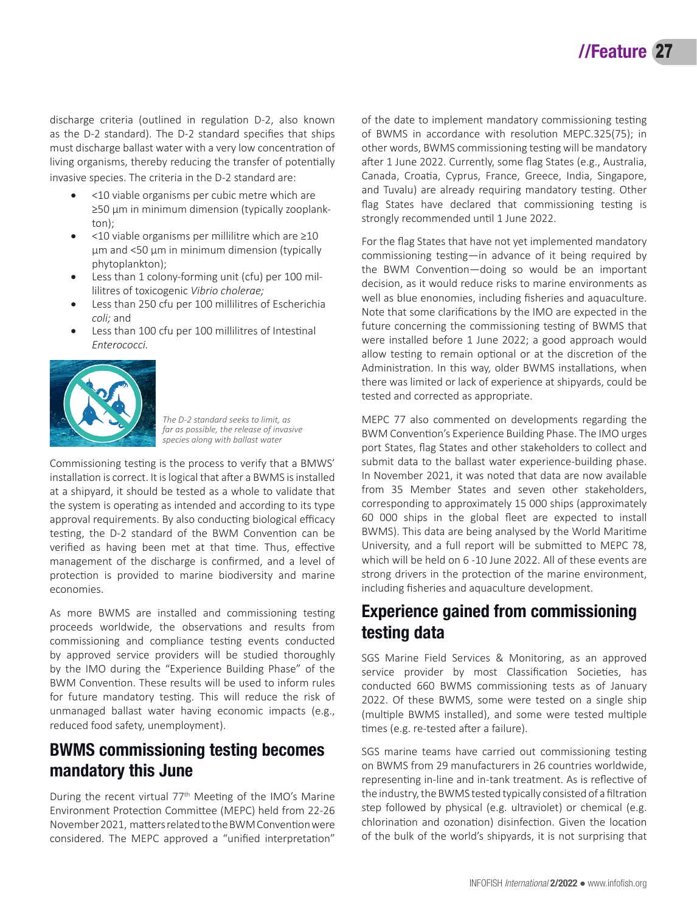discharge criteria (outlined in regulation D-2, also known as the D-2 standard). The D-2 standard specifies that ships must discharge ballast water with a very low concentration of living organisms, thereby reducing the transfer of potentially invasive species. The criteria in the D-2 standard are:

- • <10 viable organisms per cubic metre which are ≥50 µm in minimum dimension (typically zooplankton);
- • <10 viable organisms per millilitre which are ≥10 µm and <50 µm in minimum dimension (typically phytoplankton);
- Less than 1 colony-forming unit (cfu) per 100 millilitres of toxicogenic *Vibrio cholerae;*
- Less than 250 cfu per 100 millilitres of Escherichia *coli;* and
- Less than 100 cfu per 100 millilitres of Intestinal *Enterococci.*



*The D-2 standard seeks to limit, as far as possible, the release of invasive species along with ballast water*

Commissioning testing is the process to verify that a BMWS' installation is correct. It is logical that after a BWMS is installed at a shipyard, it should be tested as a whole to validate that the system is operating as intended and according to its type approval requirements. By also conducting biological efficacy testing, the D-2 standard of the BWM Convention can be verified as having been met at that time. Thus, effective management of the discharge is confirmed, and a level of protection is provided to marine biodiversity and marine economies.

As more BWMS are installed and commissioning testing proceeds worldwide, the observations and results from commissioning and compliance testing events conducted by approved service providers will be studied thoroughly by the IMO during the "Experience Building Phase" of the BWM Convention. These results will be used to inform rules for future mandatory testing. This will reduce the risk of unmanaged ballast water having economic impacts (e.g., reduced food safety, unemployment).

# BWMS commissioning testing becomes mandatory this June

During the recent virtual 77<sup>th</sup> Meeting of the IMO's Marine Environment Protection Committee (MEPC) held from 22-26 November 2021, matters related to the BWM Convention were considered. The MEPC approved a "unified interpretation"

of the date to implement mandatory commissioning testing of BWMS in accordance with resolution MEPC.325(75); in other words, BWMS commissioning testing will be mandatory after 1 June 2022. Currently, some flag States (e.g., Australia, Canada, Croatia, Cyprus, France, Greece, India, Singapore, and Tuvalu) are already requiring mandatory testing. Other flag States have declared that commissioning testing is strongly recommended until 1 June 2022.

For the flag States that have not yet implemented mandatory commissioning testing—in advance of it being required by the BWM Convention—doing so would be an important decision, as it would reduce risks to marine environments as well as blue enonomies, including fisheries and aquaculture. Note that some clarifications by the IMO are expected in the future concerning the commissioning testing of BWMS that were installed before 1 June 2022; a good approach would allow testing to remain optional or at the discretion of the Administration. In this way, older BWMS installations, when there was limited or lack of experience at shipyards, could be tested and corrected as appropriate.

MEPC 77 also commented on developments regarding the BWM Convention's Experience Building Phase. The IMO urges port States, flag States and other stakeholders to collect and submit data to the ballast water experience-building phase. In November 2021, it was noted that data are now available from 35 Member States and seven other stakeholders, corresponding to approximately 15 000 ships (approximately 60 000 ships in the global fleet are expected to install BWMS). This data are being analysed by the World Maritime University, and a full report will be submitted to MEPC 78, which will be held on 6 -10 June 2022. All of these events are strong drivers in the protection of the marine environment, including fisheries and aquaculture development.

# Experience gained from commissioning testing data

SGS Marine Field Services & Monitoring, as an approved service provider by most Classification Societies, has conducted 660 BWMS commissioning tests as of January 2022. Of these BWMS, some were tested on a single ship (multiple BWMS installed), and some were tested multiple times (e.g. re-tested after a failure).

SGS marine teams have carried out commissioning testing on BWMS from 29 manufacturers in 26 countries worldwide, representing in-line and in-tank treatment. As is reflective of the industry, the BWMS tested typically consisted of a filtration step followed by physical (e.g. ultraviolet) or chemical (e.g. chlorination and ozonation) disinfection. Given the location of the bulk of the world's shipyards, it is not surprising that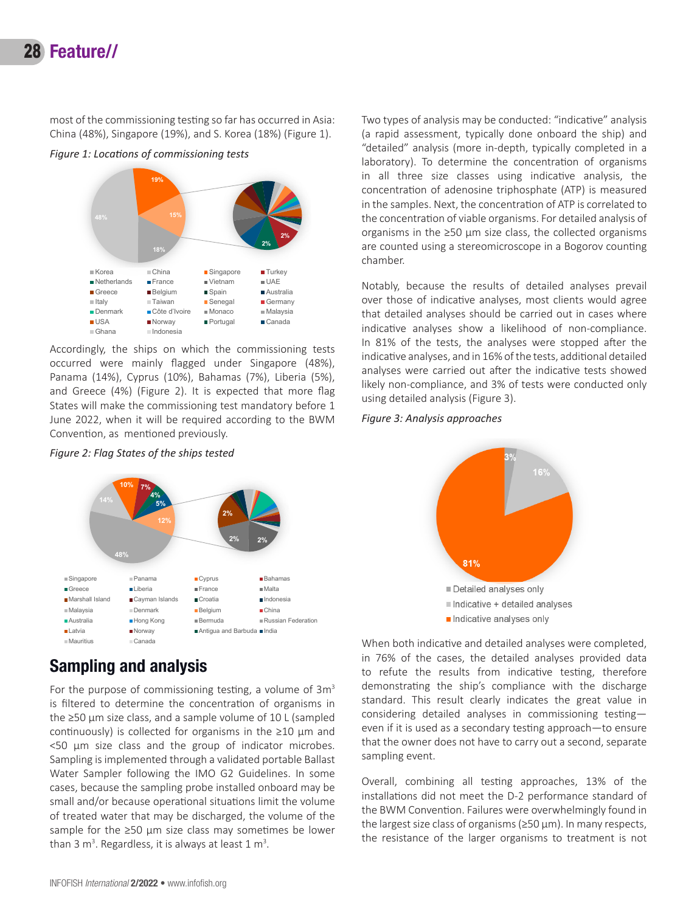# 28 Feature//

most of the commissioning testing so far has occurred in Asia: China (48%), Singapore (19%), and S. Korea (18%) (Figure 1).

*Figure 1: Locations of commissioning tests*



occurred were mainly flagged under Singapore (48%), Panama (14%), Cyprus (10%), Bahamas (7%), Liberia (5%), and Greece  $(4%)$  (Figure 2). It is expected that more flag States will make the commissioning test mandatory before 1 June 2022, when it will be required according to the BWM Accordingly, the ships on which the commissioning tests Convention, as mentioned previously. **Figure 2: Flag States of the ships tested**

*Figure 2: Flag States of the ships tested*



# **Sampling and analysis**

For the purpose of commissioning testing, a volume of  $3m<sup>3</sup>$ is filtered to determine the concentration of organisms in the ≥50 µm size class, and a sample volume of 10 L (sampled continuously) is collected for organisms in the  $\geq 10$  µm and <50 µm size class and the group of indicator microbes. Sampling is implemented through a validated portable Ballast Water Sampler following the IMO G2 Guidelines. In some cases, because the sampling probe installed onboard may be small and/or because operational situations limit the volume of treated water that may be discharged, the volume of the sample for the  $\geq$ 50 µm size class may sometimes be lower than 3 m<sup>3</sup>. Regardless, it is always at least  $1 \text{ m}^3$ .

Two types of analysis may be conducted: "indicative" analysis (a rapid assessment, typically done onboard the ship) and "detailed" analysis (more in-depth, typically completed in a laboratory). To determine the concentration of organisms in all three size classes using indicative analysis, the concentration of adenosine triphosphate (ATP) is measured in the samples. Next, the concentration of ATP is correlated to the concentration of viable organisms. For detailed analysis of organisms in the ≥50 µm size class, the collected organisms are counted using a stereomicroscope in a Bogorov counting chamber.

Notably, because the results of detailed analyses prevail over those of indicative analyses, most clients would agree that detailed analyses should be carried out in cases where indicative analyses show a likelihood of non-compliance. In 81% of the tests, the analyses were stopped after the indicative analyses, and in 16% of the tests, additional detailed analyses were carried out after the indicative tests showed likely non-compliance, and 3% of tests were conducted only using detailed analysis (Figure 3).

#### *Figure 3: Analysis approaches*



When both indicative and detailed analyses were completed, in 76% of the cases, the detailed analyses provided data to refute the results from indicative testing, therefore demonstrating the ship's compliance with the discharge standard. This result clearly indicates the great value in considering detailed analyses in commissioning testing even if it is used as a secondary testing approach—to ensure that the owner does not have to carry out a second, separate sampling event.

Overall, combining all testing approaches, 13% of the installations did not meet the D-2 performance standard of the BWM Convention. Failures were overwhelmingly found in the largest size class of organisms (≥50 µm). In many respects, the resistance of the larger organisms to treatment is not